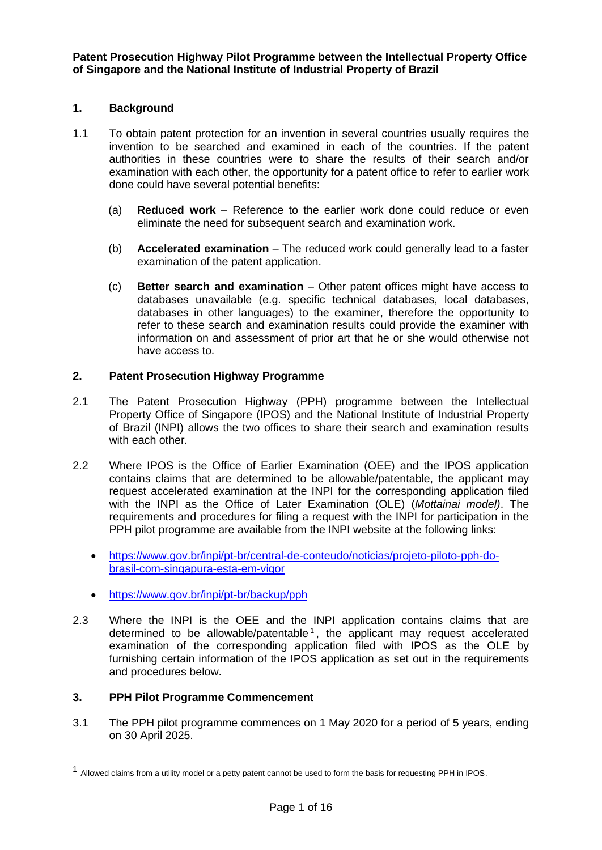**Patent Prosecution Highway Pilot Programme between the Intellectual Property Office of Singapore and the National Institute of Industrial Property of Brazil**

# **1. Background**

- 1.1 To obtain patent protection for an invention in several countries usually requires the invention to be searched and examined in each of the countries. If the patent authorities in these countries were to share the results of their search and/or examination with each other, the opportunity for a patent office to refer to earlier work done could have several potential benefits:
	- (a) **Reduced work** Reference to the earlier work done could reduce or even eliminate the need for subsequent search and examination work.
	- (b) **Accelerated examination** The reduced work could generally lead to a faster examination of the patent application.
	- (c) **Better search and examination** Other patent offices might have access to databases unavailable (e.g. specific technical databases, local databases, databases in other languages) to the examiner, therefore the opportunity to refer to these search and examination results could provide the examiner with information on and assessment of prior art that he or she would otherwise not have access to.

# **2. Patent Prosecution Highway Programme**

- 2.1 The Patent Prosecution Highway (PPH) programme between the Intellectual Property Office of Singapore (IPOS) and the National Institute of Industrial Property of Brazil (INPI) allows the two offices to share their search and examination results with each other.
- 2.2 Where IPOS is the Office of Earlier Examination (OEE) and the IPOS application contains claims that are determined to be allowable/patentable, the applicant may request accelerated examination at the INPI for the corresponding application filed with the INPI as the Office of Later Examination (OLE) (*Mottainai model)*. The requirements and procedures for filing a request with the INPI for participation in the PPH pilot programme are available from the INPI website at the following links:
	- [https://www.gov.br/inpi/pt-br/central-de-conteudo/noticias/projeto-piloto-pph-do](https://www.gov.br/inpi/pt-br/central-de-conteudo/noticias/projeto-piloto-pph-do-brasil-com-singapura-esta-em-vigor)[brasil-com-singapura-esta-em-vigor](https://www.gov.br/inpi/pt-br/central-de-conteudo/noticias/projeto-piloto-pph-do-brasil-com-singapura-esta-em-vigor)
	- <https://www.gov.br/inpi/pt-br/backup/pph>
- 2.3 Where the INPI is the OEE and the INPI application contains claims that are determined to be allowable/patentable<sup>1</sup>, the applicant may request accelerated examination of the corresponding application filed with IPOS as the OLE by furnishing certain information of the IPOS application as set out in the requirements and procedures below.

# **3. PPH Pilot Programme Commencement**

3.1 The PPH pilot programme commences on 1 May 2020 for a period of 5 years, ending on 30 April 2025.

<sup>1</sup> Allowed claims from a utility model or a petty patent cannot be used to form the basis for requesting PPH in IPOS.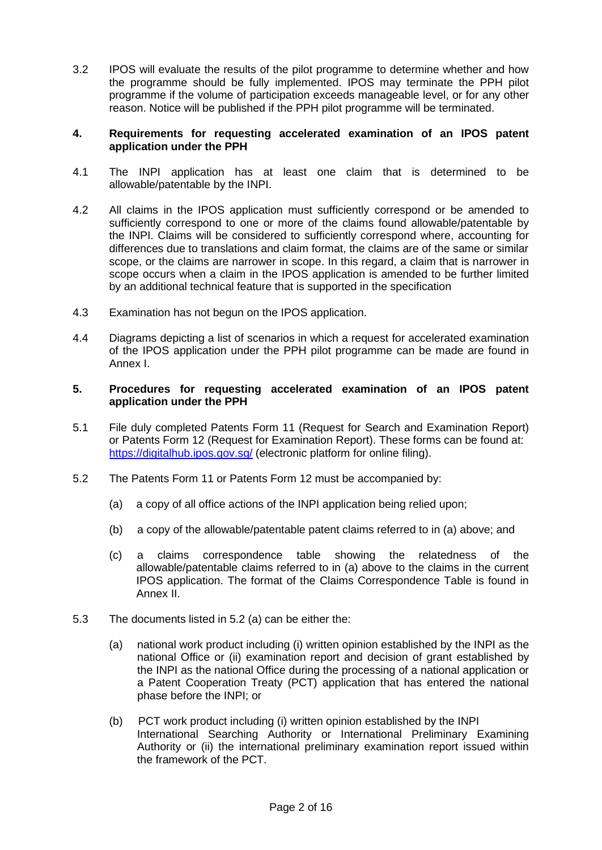3.2 IPOS will evaluate the results of the pilot programme to determine whether and how the programme should be fully implemented. IPOS may terminate the PPH pilot programme if the volume of participation exceeds manageable level, or for any other reason. Notice will be published if the PPH pilot programme will be terminated.

### **4. Requirements for requesting accelerated examination of an IPOS patent application under the PPH**

- 4.1 The INPI application has at least one claim that is determined to be allowable/patentable by the INPI.
- 4.2 All claims in the IPOS application must sufficiently correspond or be amended to sufficiently correspond to one or more of the claims found allowable/patentable by the INPI. Claims will be considered to sufficiently correspond where, accounting for differences due to translations and claim format, the claims are of the same or similar scope, or the claims are narrower in scope. In this regard, a claim that is narrower in scope occurs when a claim in the IPOS application is amended to be further limited by an additional technical feature that is supported in the specification
- 4.3 Examination has not begun on the IPOS application.
- 4.4 Diagrams depicting a list of scenarios in which a request for accelerated examination of the IPOS application under the PPH pilot programme can be made are found in Annex I.

### **5. Procedures for requesting accelerated examination of an IPOS patent application under the PPH**

- 5.1 File duly completed Patents Form 11 (Request for Search and Examination Report) or Patents Form 12 (Request for Examination Report). These forms can be found at: <https://digitalhub.ipos.gov.sg/> (electronic platform for online filing).
- 5.2 The Patents Form 11 or Patents Form 12 must be accompanied by:
	- (a) a copy of all office actions of the INPI application being relied upon;
	- (b) a copy of the allowable/patentable patent claims referred to in (a) above; and
	- (c) a claims correspondence table showing the relatedness of the allowable/patentable claims referred to in (a) above to the claims in the current IPOS application. The format of the Claims Correspondence Table is found in Annex II.
- 5.3 The documents listed in 5.2 (a) can be either the:
	- (a) national work product including (i) written opinion established by the INPI as the national Office or (ii) examination report and decision of grant established by the INPI as the national Office during the processing of a national application or a Patent Cooperation Treaty (PCT) application that has entered the national phase before the INPI; or
	- (b) PCT work product including (i) written opinion established by the INPI International Searching Authority or International Preliminary Examining Authority or (ii) the international preliminary examination report issued within the framework of the PCT.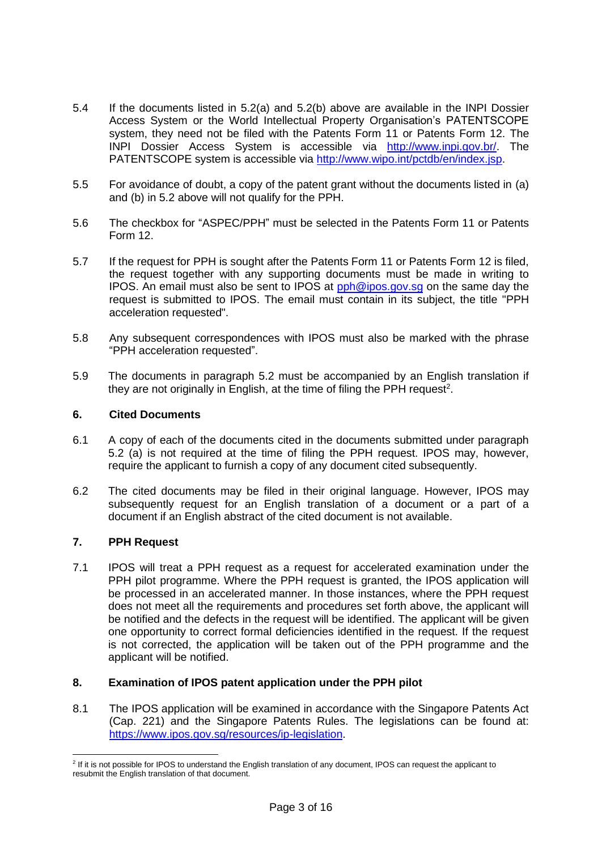- 5.4 If the documents listed in 5.2(a) and 5.2(b) above are available in the INPI Dossier Access System or the World Intellectual Property Organisation's PATENTSCOPE system, they need not be filed with the Patents Form 11 or Patents Form 12. The INPI Dossier Access System is accessible via [http://www.inpi.gov.br/.](http://www.inpi.gov.br/) The PATENTSCOPE system is accessible via [http://www.wipo.int/pctdb/en/index.jsp.](http://www.wipo.int/pctdb/en/index.jsp)
- 5.5 For avoidance of doubt, a copy of the patent grant without the documents listed in (a) and (b) in 5.2 above will not qualify for the PPH.
- 5.6 The checkbox for "ASPEC/PPH" must be selected in the Patents Form 11 or Patents Form 12.
- 5.7 If the request for PPH is sought after the Patents Form 11 or Patents Form 12 is filed, the request together with any supporting documents must be made in writing to **IPOS.** An email must also be sent to IPOS at  $pph@ipos.gov.sq$  on the same day the request is submitted to IPOS. The email must contain in its subject, the title "PPH acceleration requested".
- 5.8 Any subsequent correspondences with IPOS must also be marked with the phrase "PPH acceleration requested".
- 5.9 The documents in paragraph 5.2 must be accompanied by an English translation if they are not originally in English, at the time of filing the PPH request<sup>2</sup>.

# **6. Cited Documents**

- 6.1 A copy of each of the documents cited in the documents submitted under paragraph 5.2 (a) is not required at the time of filing the PPH request. IPOS may, however, require the applicant to furnish a copy of any document cited subsequently.
- 6.2 The cited documents may be filed in their original language. However, IPOS may subsequently request for an English translation of a document or a part of a document if an English abstract of the cited document is not available.

# **7. PPH Request**

7.1 IPOS will treat a PPH request as a request for accelerated examination under the PPH pilot programme. Where the PPH request is granted, the IPOS application will be processed in an accelerated manner. In those instances, where the PPH request does not meet all the requirements and procedures set forth above, the applicant will be notified and the defects in the request will be identified. The applicant will be given one opportunity to correct formal deficiencies identified in the request. If the request is not corrected, the application will be taken out of the PPH programme and the applicant will be notified.

#### **8. Examination of IPOS patent application under the PPH pilot**

8.1 The IPOS application will be examined in accordance with the Singapore Patents Act (Cap. 221) and the Singapore Patents Rules. The legislations can be found at: [https://www.ipos.gov.sg/resources/ip-legislation.](https://www.ipos.gov.sg/resources/ip-legislation)

<sup>&</sup>lt;sup>2</sup> If it is not possible for IPOS to understand the English translation of any document, IPOS can request the applicant to resubmit the English translation of that document.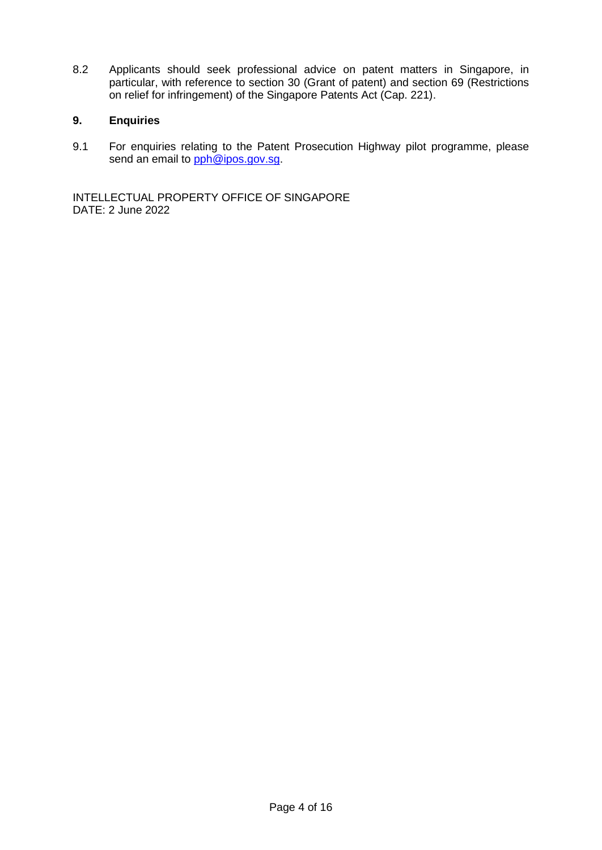8.2 Applicants should seek professional advice on patent matters in Singapore, in particular, with reference to section 30 (Grant of patent) and section 69 (Restrictions on relief for infringement) of the Singapore Patents Act (Cap. 221).

# **9. Enquiries**

9.1 For enquiries relating to the Patent Prosecution Highway pilot programme, please send an email to [pph@ipos.gov.sg.](mailto:pph@ipos.gov.sg)

INTELLECTUAL PROPERTY OFFICE OF SINGAPORE DATE: 2 June 2022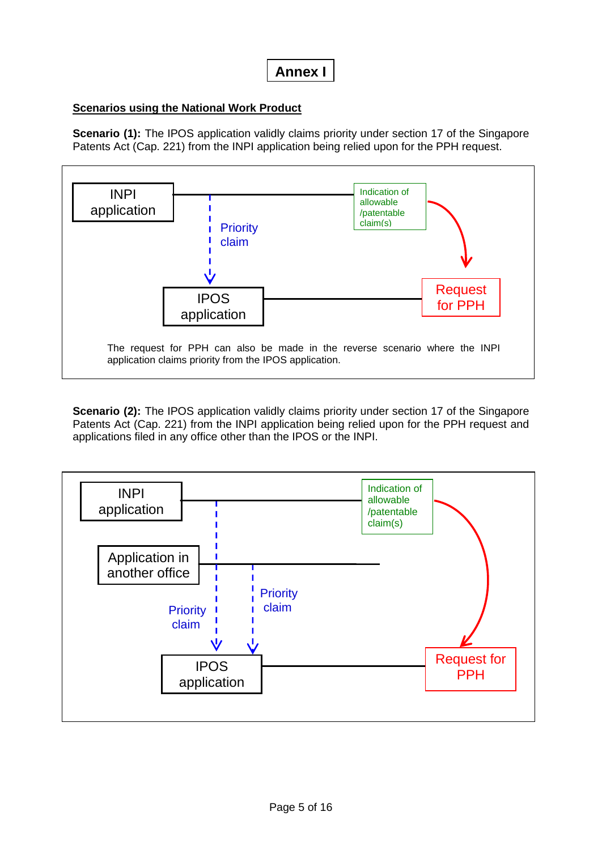# **Annex I**

# **Scenarios using the National Work Product**

**Scenario** (1): The IPOS application validly claims priority under section 17 of the Singapore Patents Act (Cap. 221) from the INPI application being relied upon for the PPH request.



**Scenario (2):** The IPOS application validly claims priority under section 17 of the Singapore Patents Act (Cap. 221) from the INPI application being relied upon for the PPH request and applications filed in any office other than the IPOS or the INPI.

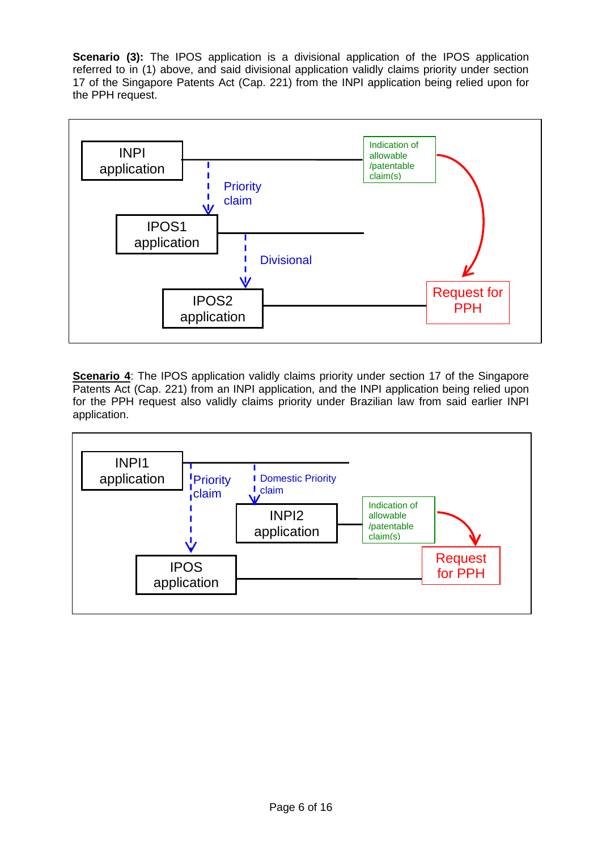**Scenario (3):** The IPOS application is a divisional application of the IPOS application referred to in (1) above, and said divisional application validly claims priority under section 17 of the Singapore Patents Act (Cap. 221) from the INPI application being relied upon for the PPH request.



**Scenario 4:** The IPOS application validly claims priority under section 17 of the Singapore Patents Act (Cap. 221) from an INPI application, and the INPI application being relied upon for the PPH request also validly claims priority under Brazilian law from said earlier INPI application.

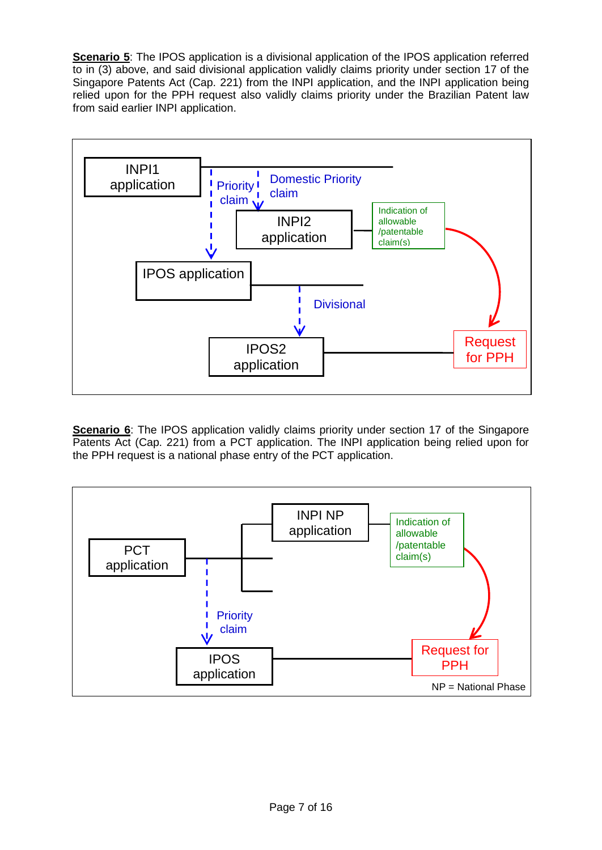**Scenario 5**: The IPOS application is a divisional application of the IPOS application referred to in (3) above, and said divisional application validly claims priority under section 17 of the Singapore Patents Act (Cap. 221) from the INPI application, and the INPI application being relied upon for the PPH request also validly claims priority under the Brazilian Patent law from said earlier INPI application.



**Scenario 6**: The IPOS application validly claims priority under section 17 of the Singapore Patents Act (Cap. 221) from a PCT application. The INPI application being relied upon for the PPH request is a national phase entry of the PCT application.

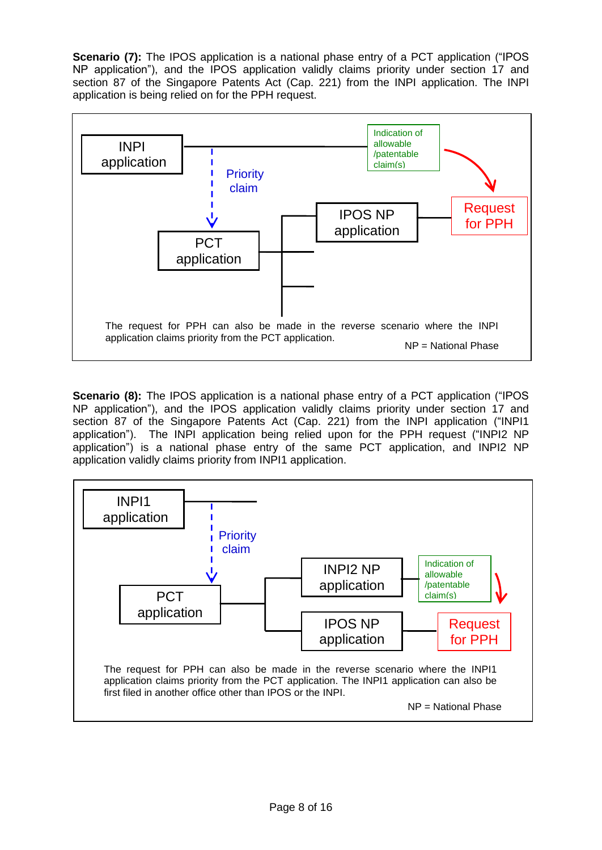**Scenario (7):** The IPOS application is a national phase entry of a PCT application ("IPOS") NP application"), and the IPOS application validly claims priority under section 17 and section 87 of the Singapore Patents Act (Cap. 221) from the INPI application. The INPI application is being relied on for the PPH request.



**Scenario (8):** The IPOS application is a national phase entry of a PCT application ("IPOS") NP application"), and the IPOS application validly claims priority under section 17 and section 87 of the Singapore Patents Act (Cap. 221) from the INPI application ("INPI1 application"). The INPI application being relied upon for the PPH request ("INPI2 NP application") is a national phase entry of the same PCT application, and INPI2 NP application validly claims priority from INPI1 application.

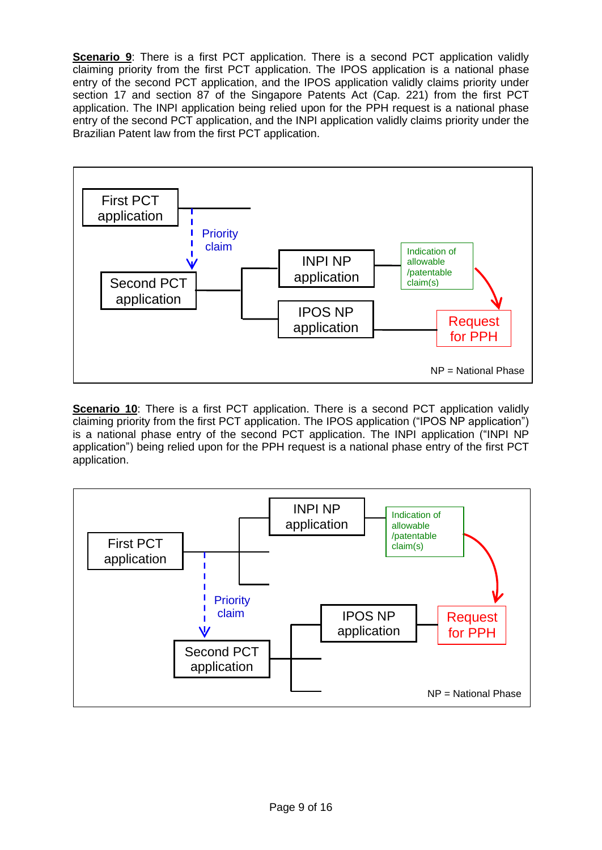**Scenario 9**: There is a first PCT application. There is a second PCT application validly claiming priority from the first PCT application. The IPOS application is a national phase entry of the second PCT application, and the IPOS application validly claims priority under section 17 and section 87 of the Singapore Patents Act (Cap. 221) from the first PCT application. The INPI application being relied upon for the PPH request is a national phase entry of the second PCT application, and the INPI application validly claims priority under the Brazilian Patent law from the first PCT application.



**Scenario 10**: There is a first PCT application. There is a second PCT application validly claiming priority from the first PCT application. The IPOS application ("IPOS NP application") is a national phase entry of the second PCT application. The INPI application ("INPI NP application") being relied upon for the PPH request is a national phase entry of the first PCT application.

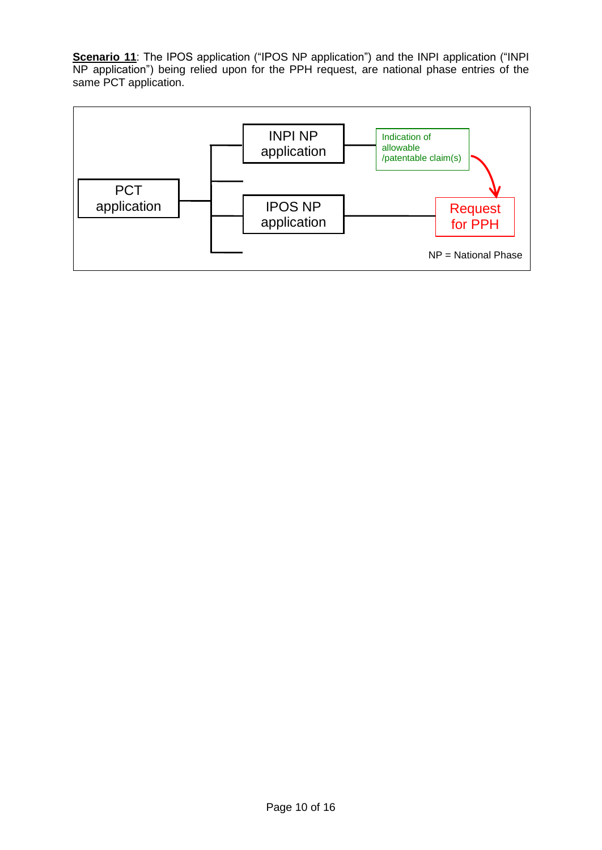**Scenario 11**: The IPOS application ("IPOS NP application") and the INPI application ("INPI NP application") being relied upon for the PPH request, are national phase entries of the same PCT application.

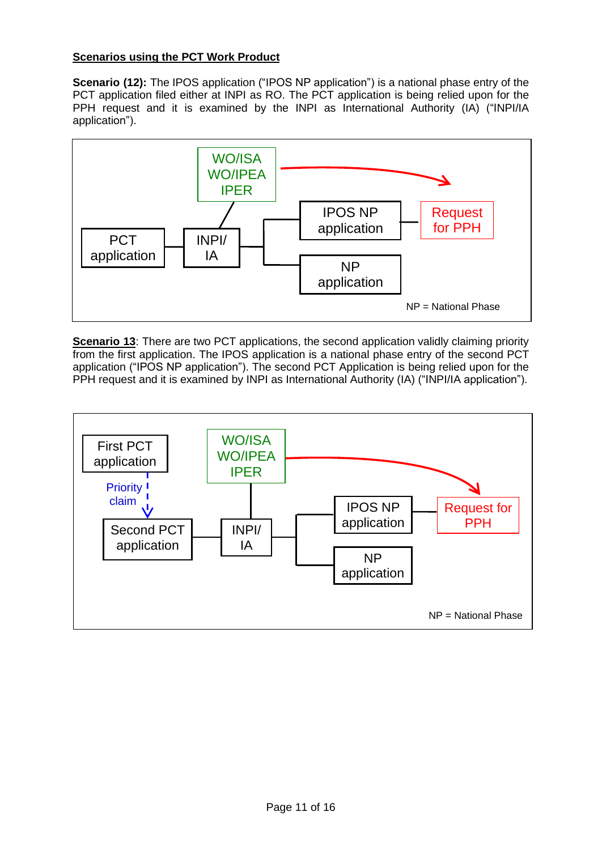# **Scenarios using the PCT Work Product**

**Scenario (12):** The IPOS application ("IPOS NP application") is a national phase entry of the PCT application filed either at INPI as RO. The PCT application is being relied upon for the PPH request and it is examined by the INPI as International Authority (IA) ("INPI/IA application").



**Scenario 13:** There are two PCT applications, the second application validly claiming priority from the first application. The IPOS application is a national phase entry of the second PCT application ("IPOS NP application"). The second PCT Application is being relied upon for the PPH request and it is examined by INPI as International Authority (IA) ("INPI/IA application").

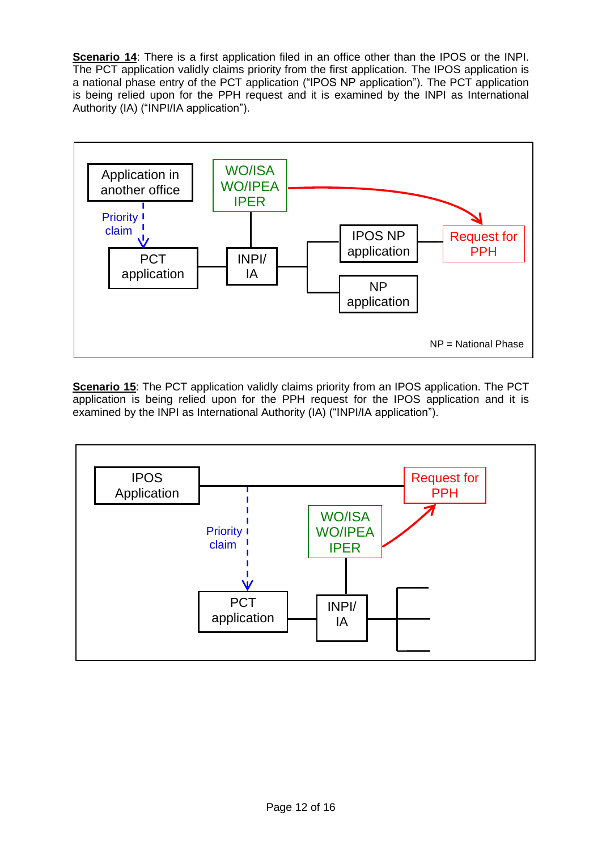**Scenario 14:** There is a first application filed in an office other than the IPOS or the INPI. The PCT application validly claims priority from the first application. The IPOS application is a national phase entry of the PCT application ("IPOS NP application"). The PCT application is being relied upon for the PPH request and it is examined by the INPI as International Authority (IA) ("INPI/IA application").



**Scenario 15:** The PCT application validly claims priority from an IPOS application. The PCT application is being relied upon for the PPH request for the IPOS application and it is examined by the INPI as International Authority (IA) ("INPI/IA application").

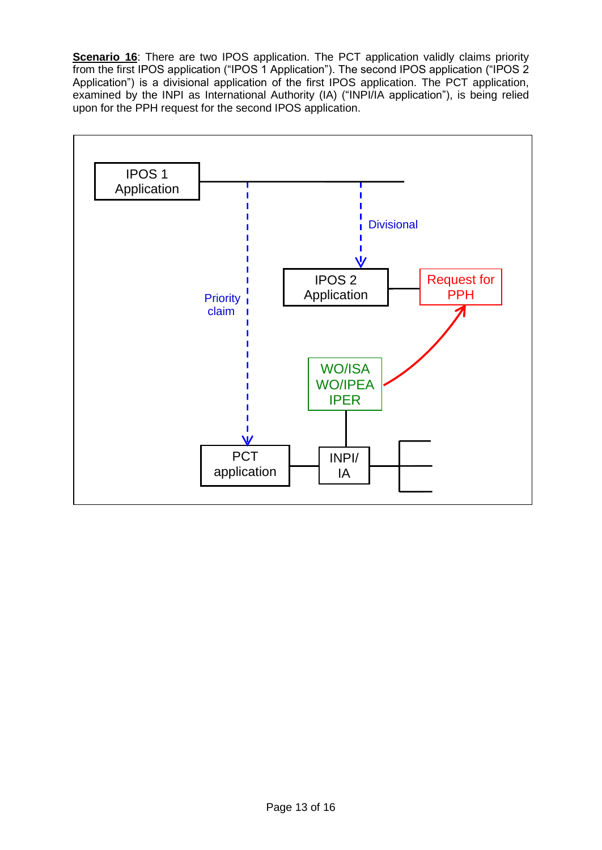**Scenario 16**: There are two IPOS application. The PCT application validly claims priority from the first IPOS application ("IPOS 1 Application"). The second IPOS application ("IPOS 2 Application") is a divisional application of the first IPOS application. The PCT application, examined by the INPI as International Authority (IA) ("INPI/IA application"), is being relied upon for the PPH request for the second IPOS application.

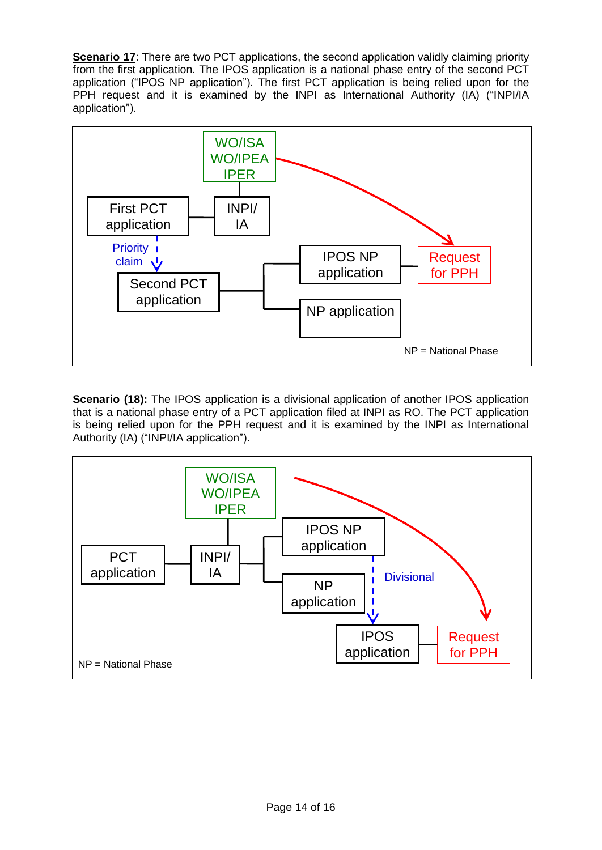**Scenario 17:** There are two PCT applications, the second application validly claiming priority from the first application. The IPOS application is a national phase entry of the second PCT application ("IPOS NP application"). The first PCT application is being relied upon for the PPH request and it is examined by the INPI as International Authority (IA) ("INPI/IA application").



**Scenario (18):** The IPOS application is a divisional application of another IPOS application that is a national phase entry of a PCT application filed at INPI as RO. The PCT application is being relied upon for the PPH request and it is examined by the INPI as International Authority (IA) ("INPI/IA application").

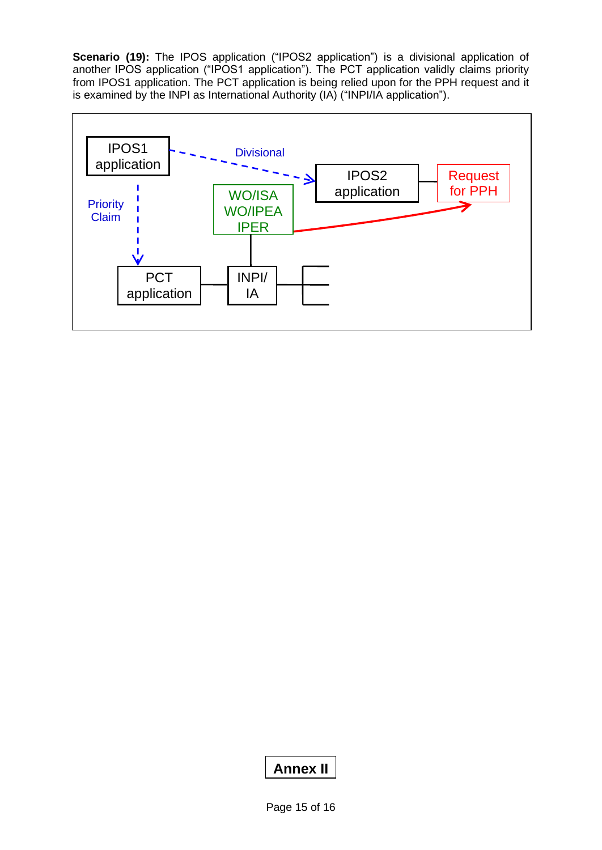**Scenario (19):** The IPOS application ("IPOS2 application") is a divisional application of another IPOS application ("IPOS1 application"). The PCT application validly claims priority from IPOS1 application. The PCT application is being relied upon for the PPH request and it is examined by the INPI as International Authority (IA) ("INPI/IA application").



# **Annex II**